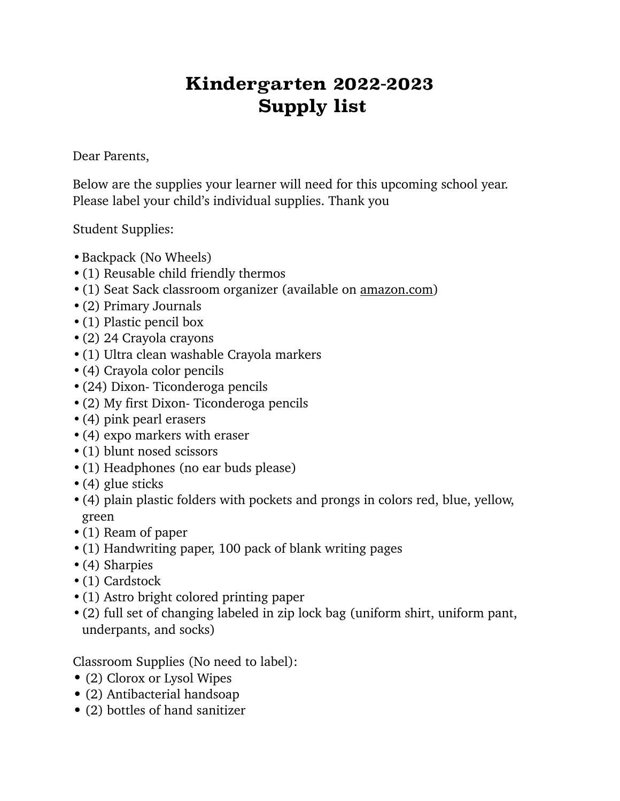## **Kindergarten 2022-2023 Supply list**

Dear Parents,

Below are the supplies your learner will need for this upcoming school year. Please label your child's individual supplies. Thank you

Student Supplies:

- •Backpack (No Wheels)
- •(1) Reusable child friendly thermos
- •(1) Seat Sack classroom organizer (available on [amazon.com\)](http://amazon.com)
- •(2) Primary Journals
- (1) Plastic pencil box
- •(2) 24 Crayola crayons
- •(1) Ultra clean washable Crayola markers
- •(4) Crayola color pencils
- •(24) Dixon- Ticonderoga pencils
- •(2) My first Dixon- Ticonderoga pencils
- •(4) pink pearl erasers
- •(4) expo markers with eraser
- •(1) blunt nosed scissors
- •(1) Headphones (no ear buds please)
- (4) glue sticks
- •(4) plain plastic folders with pockets and prongs in colors red, blue, yellow, green
- •(1) Ream of paper
- •(1) Handwriting paper, 100 pack of blank writing pages
- •(4) Sharpies
- •(1) Cardstock
- •(1) Astro bright colored printing paper
- •(2) full set of changing labeled in zip lock bag (uniform shirt, uniform pant, underpants, and socks)

Classroom Supplies (No need to label):

- (2) Clorox or Lysol Wipes
- (2) Antibacterial handsoap
- (2) bottles of hand sanitizer